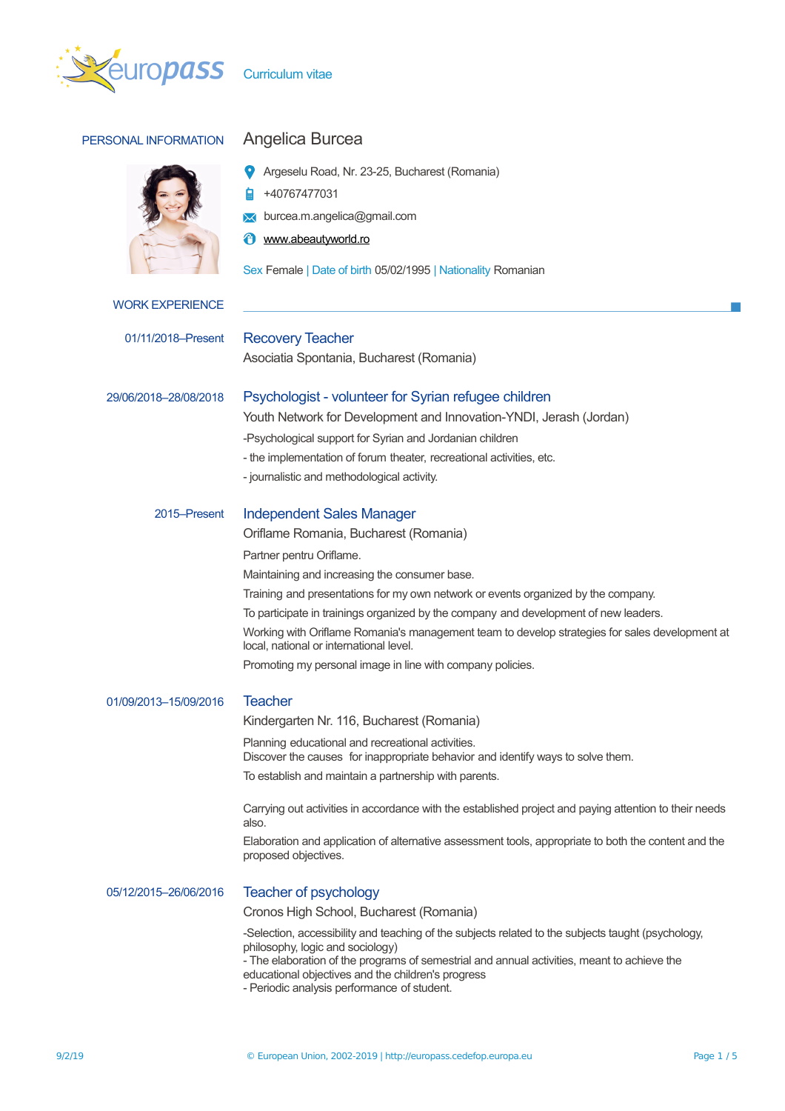

PERSONAL INFORMATION Angelica Burcea Argeselu Road, Nr. 23-25, Bucharest (Romania) +40767477031 **M** burcea.m.angelica@gmail.com *A* [www.abeautyworld.ro](http://www.abeautyworld.ro/) Sex Female | Date of birth 05/02/1995 | Nationality Romanian WORK EXPERIENCE 01/11/2018–Present Recovery Teacher Asociatia Spontania, Bucharest (Romania) 29/06/2018–28/08/2018 Psychologist - volunteer for Syrian refugee children Youth Network for Development and Innovation-YNDI, Jerash (Jordan) -Psychological support for Syrian and Jordanian children - the implementation of forum theater, recreational activities, etc. - journalistic and methodological activity. 2015–Present Independent Sales Manager Oriflame Romania, Bucharest (Romania) Partner pentru Oriflame.

Maintaining and increasing the consumer base.

Training and presentations for my own network or events organized by the company.

To participate in trainings organized by the company and development of new leaders.

Working with Oriflame Romania's management team to develop strategies for sales development at local, national or international level.

Promoting my personal image in line with company policies.

| 01/09/2013-15/09/2016 | Teacher                                                                                                                                                                                                                                                                                                                                    |
|-----------------------|--------------------------------------------------------------------------------------------------------------------------------------------------------------------------------------------------------------------------------------------------------------------------------------------------------------------------------------------|
|                       | Kindergarten Nr. 116, Bucharest (Romania)                                                                                                                                                                                                                                                                                                  |
|                       | Planning educational and recreational activities.<br>Discover the causes for inappropriate behavior and identify ways to solve them.                                                                                                                                                                                                       |
|                       | To establish and maintain a partnership with parents.                                                                                                                                                                                                                                                                                      |
|                       | Carrying out activities in accordance with the established project and paying attention to their needs<br>also.                                                                                                                                                                                                                            |
|                       | Elaboration and application of alternative assessment tools, appropriate to both the content and the<br>proposed objectives.                                                                                                                                                                                                               |
| 05/12/2015-26/06/2016 | Teacher of psychology                                                                                                                                                                                                                                                                                                                      |
|                       | Cronos High School, Bucharest (Romania)                                                                                                                                                                                                                                                                                                    |
|                       | -Selection, accessibility and teaching of the subjects related to the subjects taught (psychology,<br>philosophy, logic and sociology)<br>- The elaboration of the programs of semestrial and annual activities, meant to achieve the<br>educational objectives and the children's progress<br>- Periodic analysis performance of student. |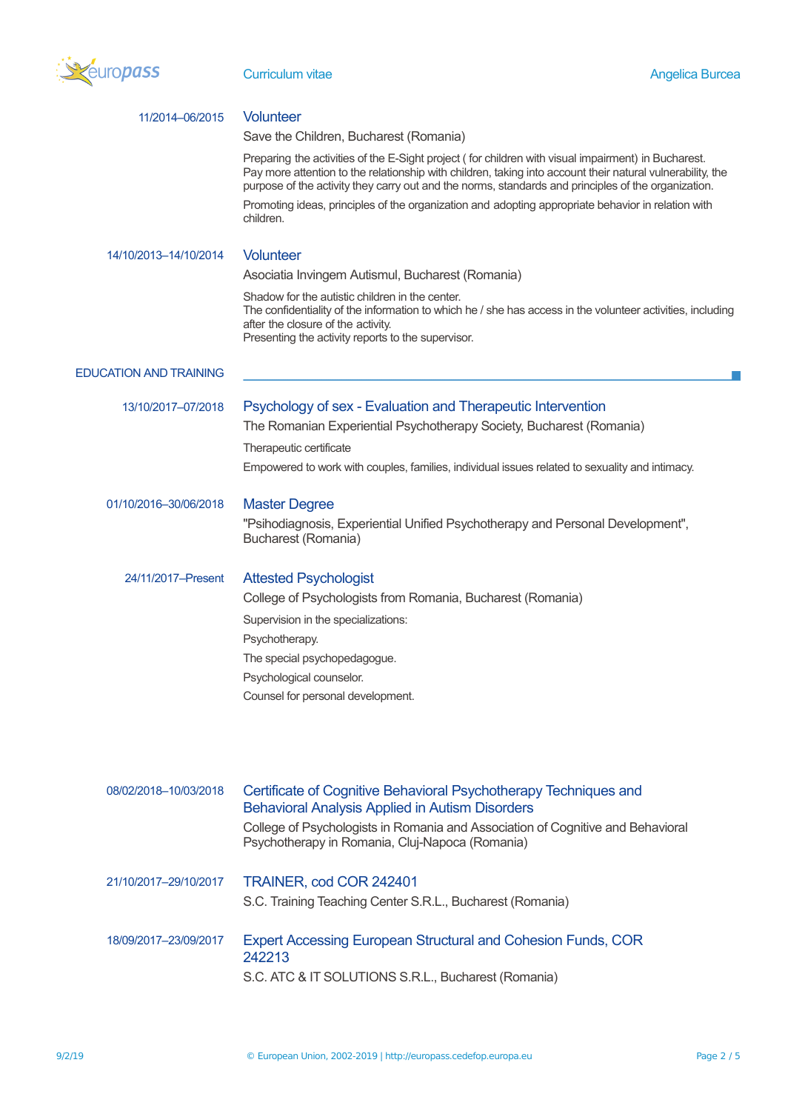

| 11/2014-06/2015               | <b>Volunteer</b>                                                                                                                                                                                                                                                                                                         |
|-------------------------------|--------------------------------------------------------------------------------------------------------------------------------------------------------------------------------------------------------------------------------------------------------------------------------------------------------------------------|
|                               | Save the Children, Bucharest (Romania)                                                                                                                                                                                                                                                                                   |
|                               | Preparing the activities of the E-Sight project (for children with visual impairment) in Bucharest.<br>Pay more attention to the relationship with children, taking into account their natural vulnerability, the<br>purpose of the activity they carry out and the norms, standards and principles of the organization. |
|                               | Promoting ideas, principles of the organization and adopting appropriate behavior in relation with<br>children.                                                                                                                                                                                                          |
| 14/10/2013-14/10/2014         | <b>Volunteer</b>                                                                                                                                                                                                                                                                                                         |
|                               | Asociatia Invingem Autismul, Bucharest (Romania)                                                                                                                                                                                                                                                                         |
|                               | Shadow for the autistic children in the center.<br>The confidentiality of the information to which he / she has access in the volunteer activities, including<br>after the closure of the activity.<br>Presenting the activity reports to the supervisor.                                                                |
| <b>EDUCATION AND TRAINING</b> |                                                                                                                                                                                                                                                                                                                          |
| 13/10/2017-07/2018            | Psychology of sex - Evaluation and Therapeutic Intervention                                                                                                                                                                                                                                                              |
|                               | The Romanian Experiential Psychotherapy Society, Bucharest (Romania)                                                                                                                                                                                                                                                     |
|                               | Therapeutic certificate                                                                                                                                                                                                                                                                                                  |
|                               | Empowered to work with couples, families, individual issues related to sexuality and intimacy.                                                                                                                                                                                                                           |
| 01/10/2016-30/06/2018         | <b>Master Degree</b>                                                                                                                                                                                                                                                                                                     |
|                               | "Psihodiagnosis, Experiential Unified Psychotherapy and Personal Development",<br>Bucharest (Romania)                                                                                                                                                                                                                    |
| 24/11/2017-Present            | <b>Attested Psychologist</b>                                                                                                                                                                                                                                                                                             |
|                               | College of Psychologists from Romania, Bucharest (Romania)                                                                                                                                                                                                                                                               |
|                               | Supervision in the specializations:                                                                                                                                                                                                                                                                                      |
|                               | Psychotherapy.                                                                                                                                                                                                                                                                                                           |
|                               | The special psychopedagogue.                                                                                                                                                                                                                                                                                             |
|                               | Psychological counselor.                                                                                                                                                                                                                                                                                                 |
|                               | Counsel for personal development.                                                                                                                                                                                                                                                                                        |
|                               |                                                                                                                                                                                                                                                                                                                          |
| 08/02/2018-10/03/2018         | Certificate of Cognitive Behavioral Psychotherapy Techniques and                                                                                                                                                                                                                                                         |
|                               | <b>Behavioral Analysis Applied in Autism Disorders</b>                                                                                                                                                                                                                                                                   |
|                               | College of Psychologists in Romania and Association of Cognitive and Behavioral<br>Psychotherapy in Romania, Cluj-Napoca (Romania)                                                                                                                                                                                       |
| 21/10/2017-29/10/2017         | TRAINER, cod COR 242401                                                                                                                                                                                                                                                                                                  |
|                               | S.C. Training Teaching Center S.R.L., Bucharest (Romania)                                                                                                                                                                                                                                                                |
| 18/09/2017-23/09/2017         | <b>Expert Accessing European Structural and Cohesion Funds, COR</b>                                                                                                                                                                                                                                                      |
|                               | 242213<br>S.C. ATC & IT SOLUTIONS S.R.L., Bucharest (Romania)                                                                                                                                                                                                                                                            |
|                               |                                                                                                                                                                                                                                                                                                                          |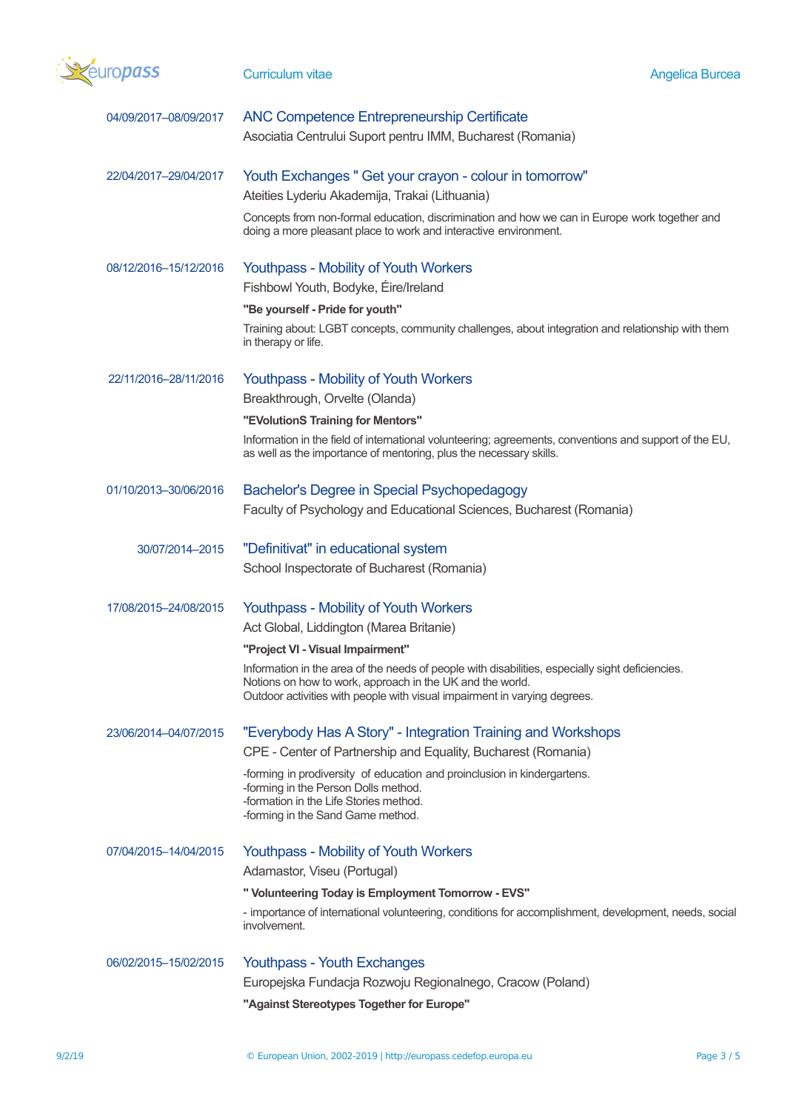

| 04/09/2017-08/09/2017 | <b>ANC Competence Entrepreneurship Certificate</b><br>Asociatia Centrului Suport pentru IMM, Bucharest (Romania)                                                                                                                           |
|-----------------------|--------------------------------------------------------------------------------------------------------------------------------------------------------------------------------------------------------------------------------------------|
| 22/04/2017-29/04/2017 | Youth Exchanges " Get your crayon - colour in tomorrow"                                                                                                                                                                                    |
|                       | Ateities Lyderiu Akademija, Trakai (Lithuania)                                                                                                                                                                                             |
|                       | Concepts from non-formal education, discrimination and how we can in Europe work together and<br>doing a more pleasant place to work and interactive environment.                                                                          |
| 08/12/2016-15/12/2016 | <b>Youthpass - Mobility of Youth Workers</b>                                                                                                                                                                                               |
|                       | Fishbowl Youth, Bodyke, Éire/Ireland                                                                                                                                                                                                       |
|                       | "Be yourself - Pride for youth"                                                                                                                                                                                                            |
|                       | Training about: LGBT concepts, community challenges, about integration and relationship with them<br>in therapy or life.                                                                                                                   |
| 22/11/2016-28/11/2016 | <b>Youthpass - Mobility of Youth Workers</b><br>Breakthrough, Orvelte (Olanda)                                                                                                                                                             |
|                       | "EVolutionS Training for Mentors"                                                                                                                                                                                                          |
|                       | Information in the field of international volunteering; agreements, conventions and support of the EU,<br>as well as the importance of mentoring, plus the necessary skills.                                                               |
| 01/10/2013-30/06/2016 | Bachelor's Degree in Special Psychopedagogy                                                                                                                                                                                                |
|                       | Faculty of Psychology and Educational Sciences, Bucharest (Romania)                                                                                                                                                                        |
| 30/07/2014-2015       | "Definitivat" in educational system                                                                                                                                                                                                        |
|                       | School Inspectorate of Bucharest (Romania)                                                                                                                                                                                                 |
| 17/08/2015-24/08/2015 | <b>Youthpass - Mobility of Youth Workers</b><br>Act Global, Liddington (Marea Britanie)                                                                                                                                                    |
|                       | "Project VI - Visual Impairment"                                                                                                                                                                                                           |
|                       | Information in the area of the needs of people with disabilities, especially sight deficiencies.<br>Notions on how to work, approach in the UK and the world.<br>Outdoor activities with people with visual impairment in varying degrees. |
| 23/06/2014-04/07/2015 | "Everybody Has A Story" - Integration Training and Workshops                                                                                                                                                                               |
|                       | CPE - Center of Partnership and Equality, Bucharest (Romania)                                                                                                                                                                              |
|                       | -forming in prodiversity of education and proinclusion in kindergartens.<br>-forming in the Person Dolls method.<br>-formation in the Life Stories method.<br>-forming in the Sand Game method.                                            |
| 07/04/2015-14/04/2015 | <b>Youthpass - Mobility of Youth Workers</b>                                                                                                                                                                                               |
|                       | Adamastor, Viseu (Portugal)                                                                                                                                                                                                                |
|                       | " Volunteering Today is Employment Tomorrow - EVS"                                                                                                                                                                                         |
|                       | - importance of international volunteering, conditions for accomplishment, development, needs, social<br>involvement.                                                                                                                      |
| 06/02/2015-15/02/2015 | <b>Youthpass - Youth Exchanges</b>                                                                                                                                                                                                         |
|                       | Europejska Fundacja Rozwoju Regionalnego, Cracow (Poland)                                                                                                                                                                                  |
|                       | "Against Stereotypes Together for Europe"                                                                                                                                                                                                  |
|                       |                                                                                                                                                                                                                                            |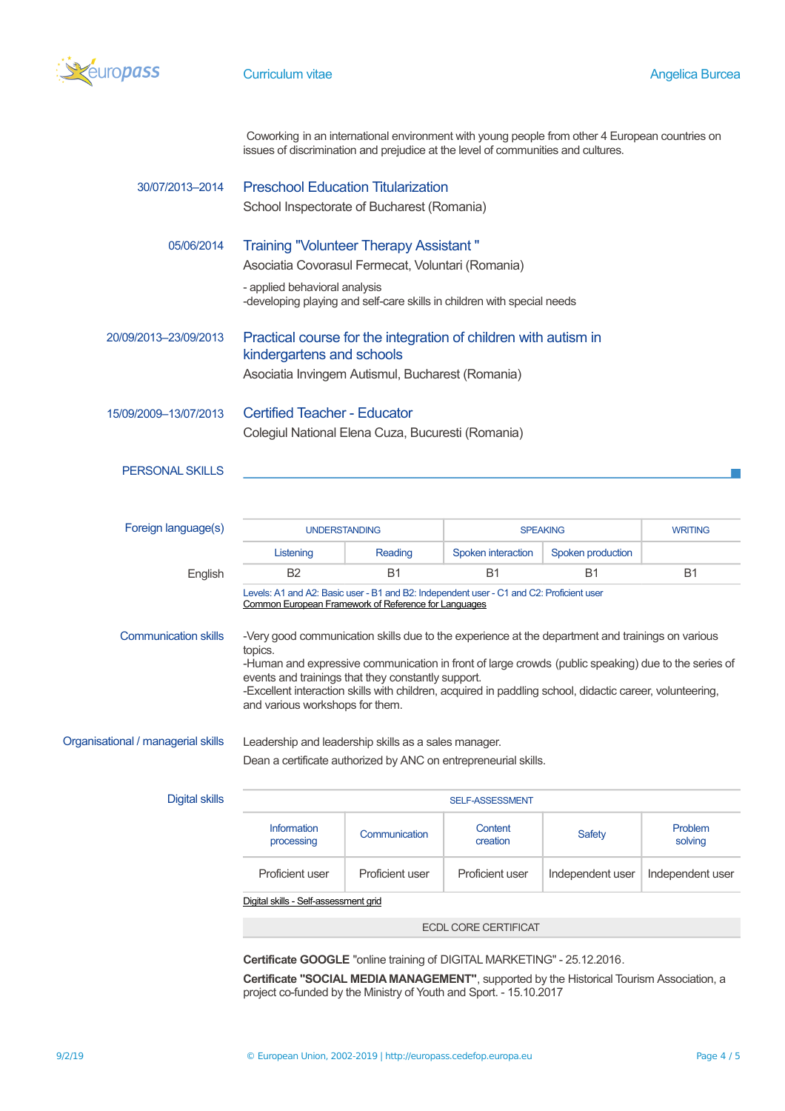

Coworking in an international environment with young people from other 4 European countries on issues of discrimination and prejudice at the level of communities and cultures.

| 30/07/2013-2014                    | <b>Preschool Education Titularization</b><br>School Inspectorate of Bucharest (Romania)                                                                                                                                                                                                                                                                                                                                 |                 |                     |                   |                    |
|------------------------------------|-------------------------------------------------------------------------------------------------------------------------------------------------------------------------------------------------------------------------------------------------------------------------------------------------------------------------------------------------------------------------------------------------------------------------|-----------------|---------------------|-------------------|--------------------|
| 05/06/2014                         | <b>Training "Volunteer Therapy Assistant"</b><br>Asociatia Covorasul Fermecat, Voluntari (Romania)<br>- applied behavioral analysis<br>-developing playing and self-care skills in children with special needs                                                                                                                                                                                                          |                 |                     |                   |                    |
| 20/09/2013-23/09/2013              | Practical course for the integration of children with autism in<br>kindergartens and schools<br>Asociatia Invingem Autismul, Bucharest (Romania)                                                                                                                                                                                                                                                                        |                 |                     |                   |                    |
| 15/09/2009-13/07/2013              | <b>Certified Teacher - Educator</b><br>Colegiul National Elena Cuza, Bucuresti (Romania)                                                                                                                                                                                                                                                                                                                                |                 |                     |                   |                    |
| <b>PERSONAL SKILLS</b>             |                                                                                                                                                                                                                                                                                                                                                                                                                         |                 |                     |                   |                    |
| Foreign language(s)                | <b>UNDERSTANDING</b>                                                                                                                                                                                                                                                                                                                                                                                                    |                 | <b>SPEAKING</b>     |                   | <b>WRITING</b>     |
|                                    | Listening                                                                                                                                                                                                                                                                                                                                                                                                               | Reading         | Spoken interaction  | Spoken production |                    |
| English                            | B <sub>2</sub>                                                                                                                                                                                                                                                                                                                                                                                                          | <b>B1</b>       | <b>B1</b>           | Β1                | <b>B1</b>          |
|                                    | Levels: A1 and A2: Basic user - B1 and B2: Independent user - C1 and C2: Proficient user<br>Common European Framework of Reference for Languages                                                                                                                                                                                                                                                                        |                 |                     |                   |                    |
| <b>Communication skills</b>        | -Very good communication skills due to the experience at the department and trainings on various<br>topics.<br>-Human and expressive communication in front of large crowds (public speaking) due to the series of<br>events and trainings that they constantly support.<br>-Excellent interaction skills with children, acquired in paddling school, didactic career, volunteering,<br>and various workshops for them. |                 |                     |                   |                    |
| Organisational / managerial skills | Leadership and leadership skills as a sales manager.                                                                                                                                                                                                                                                                                                                                                                    |                 |                     |                   |                    |
|                                    | Dean a certificate authorized by ANC on entrepreneurial skills.                                                                                                                                                                                                                                                                                                                                                         |                 |                     |                   |                    |
| <b>Digital skills</b>              | <b>SELF-ASSESSMENT</b>                                                                                                                                                                                                                                                                                                                                                                                                  |                 |                     |                   |                    |
|                                    | Information<br>processing                                                                                                                                                                                                                                                                                                                                                                                               | Communication   | Content<br>creation | <b>Safety</b>     | Problem<br>solving |
|                                    | Proficient user                                                                                                                                                                                                                                                                                                                                                                                                         | Proficient user | Proficient user     | Independent user  | Independent user   |
|                                    | Digital skills - Self-assessment grid                                                                                                                                                                                                                                                                                                                                                                                   |                 |                     |                   |                    |
| <b>ECDL CORE CERTIFICAT</b>        |                                                                                                                                                                                                                                                                                                                                                                                                                         |                 |                     |                   |                    |

**Certificate GOOGLE** "online training of DIGITAL MARKETING" - 25.12.2016.

**Certificate "SOCIAL MEDIA MANAGEMENT"**, supported by the Historical Tourism Association, a project co-funded by the Ministry of Youth and Sport. - 15.10.2017